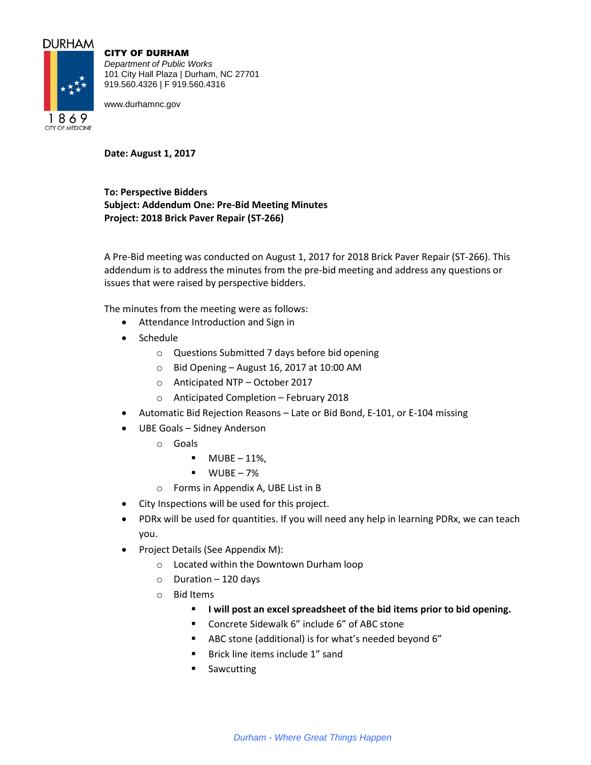## **DURHAM**



**CITY OF MEDICINE** 

CITY OF DURHAM

*Department of Public Works* 101 City Hall Plaza | Durham, NC 27701 919.560.4326 | F 919.560.4316

www.durhamnc.gov

**Date: August 1, 2017**

**To: Perspective Bidders Subject: Addendum One: Pre-Bid Meeting Minutes Project: 2018 Brick Paver Repair (ST-266)**

A Pre-Bid meeting was conducted on August 1, 2017 for 2018 Brick Paver Repair (ST-266). This addendum is to address the minutes from the pre-bid meeting and address any questions or issues that were raised by perspective bidders.

The minutes from the meeting were as follows:

- Attendance Introduction and Sign in
- Schedule
	- o Questions Submitted 7 days before bid opening
	- $\circ$  Bid Opening August 16, 2017 at 10:00 AM
	- o Anticipated NTP October 2017
	- o Anticipated Completion February 2018
- Automatic Bid Rejection Reasons Late or Bid Bond, E-101, or E-104 missing
- UBE Goals Sidney Anderson
	- o Goals
		- $-MUBE 11\%$
		- $WUBE 7%$
	- o Forms in Appendix A, UBE List in B
- City Inspections will be used for this project.
- PDRx will be used for quantities. If you will need any help in learning PDRx, we can teach you.
- Project Details (See Appendix M):
	- o Located within the Downtown Durham loop
	- $\circ$  Duration 120 days
	- o Bid Items
		- **I** will post an excel spreadsheet of the bid items prior to bid opening.
		- Concrete Sidewalk 6" include 6" of ABC stone
		- ABC stone (additional) is for what's needed beyond 6"
		- **Brick line items include 1" sand**
		- **Sawcutting**